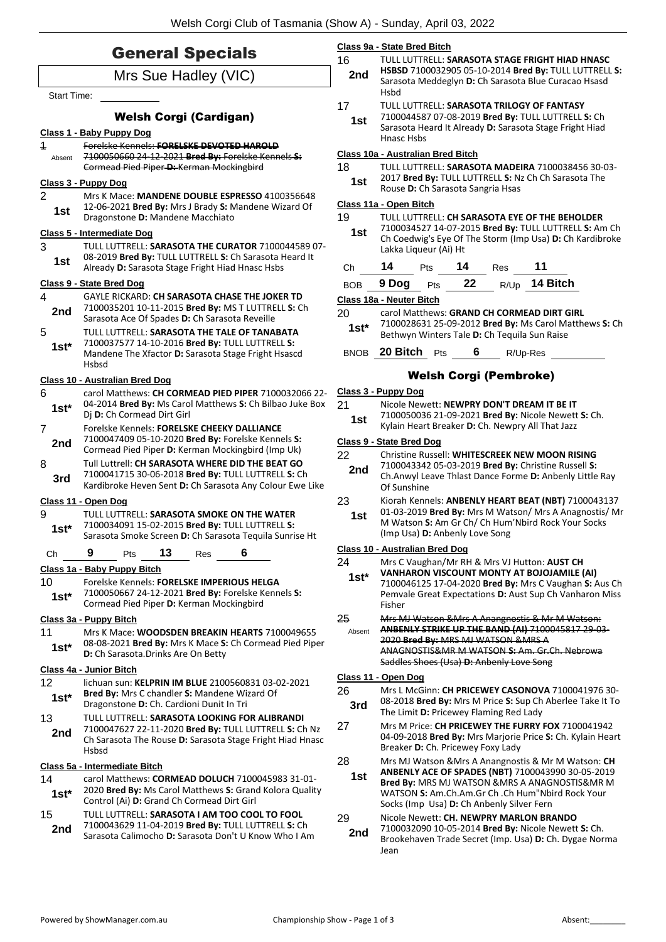| <b>General Specials</b>                                                                                                                                |                                                                                                                                                                                                       |                                                  | Class 9a - State Bred Bitch<br>16<br>TULL LUTTRELL: SARASOTA STAGE FRIGHT HIAD HNASC                                                                                                                                      |  |  |  |
|--------------------------------------------------------------------------------------------------------------------------------------------------------|-------------------------------------------------------------------------------------------------------------------------------------------------------------------------------------------------------|--------------------------------------------------|---------------------------------------------------------------------------------------------------------------------------------------------------------------------------------------------------------------------------|--|--|--|
| Mrs Sue Hadley (VIC)                                                                                                                                   |                                                                                                                                                                                                       |                                                  | HSBSD 7100032905 05-10-2014 Bred By: TULL LUTTRELL S:<br>Sarasota Meddeglyn D: Ch Sarasota Blue Curacao Hsasd                                                                                                             |  |  |  |
| <b>Start Time:</b><br><b>Welsh Corgi (Cardigan)</b>                                                                                                    |                                                                                                                                                                                                       | 17<br>1st                                        | <b>Hsbd</b><br>TULL LUTTRELL: SARASOTA TRILOGY OF FANTASY<br>7100044587 07-08-2019 Bred By: TULL LUTTRELL S: Ch<br>Sarasota Heard It Already D: Sarasota Stage Fright Hiad                                                |  |  |  |
| $\overline{1}$                                                                                                                                         | Class 1 - Baby Puppy Dog<br>Forelske Kennels: FORELSKE DEVOTED HAROLD                                                                                                                                 |                                                  | Hnasc Hsbs                                                                                                                                                                                                                |  |  |  |
| Absent                                                                                                                                                 | 7100050660 24 12 2021 Bred By: Forelske Kennels S:<br>Cormead Pied Piper D: Kerman Mockingbird                                                                                                        | 18                                               | Class 10a - Australian Bred Bitch<br>TULL LUTTRELL: SARASOTA MADEIRA 7100038456 30-03-                                                                                                                                    |  |  |  |
|                                                                                                                                                        | Class 3 - Puppy Dog                                                                                                                                                                                   | 1st                                              | 2017 Bred By: TULL LUTTRELL S: Nz Ch Ch Sarasota The<br>Rouse D: Ch Sarasota Sangria Hsas                                                                                                                                 |  |  |  |
| 2<br>Mrs K Mace: MANDENE DOUBLE ESPRESSO 4100356648<br>12-06-2021 Bred By: Mrs J Brady S: Mandene Wizard Of<br>1st<br>Dragonstone D: Mandene Macchiato |                                                                                                                                                                                                       | 19<br>1st                                        | Class 11a - Open Bitch<br>TULL LUTTRELL: CH SARASOTA EYE OF THE BEHOLDER<br>7100034527 14-07-2015 Bred By: TULL LUTTRELL S: Am Ch                                                                                         |  |  |  |
| 3<br>1st                                                                                                                                               | <b>Class 5 - Intermediate Dog</b><br>TULL LUTTRELL: SARASOTA THE CURATOR 7100044589 07-<br>08-2019 Bred By: TULL LUTTRELL S: Ch Sarasota Heard It<br>Already D: Sarasota Stage Fright Hiad Hnasc Hsbs | Ch                                               | Ch Coedwig's Eye Of The Storm (Imp Usa) D: Ch Kardibroke<br>Lakka Liqueur (Ai) Ht<br>14<br>11<br>14<br>Pts<br>Res                                                                                                         |  |  |  |
|                                                                                                                                                        | <b>Class 9 - State Bred Dog</b>                                                                                                                                                                       | <b>BOB</b>                                       | R/Up 14 Bitch<br>9 Dog<br>22<br>Pts                                                                                                                                                                                       |  |  |  |
| $\overline{4}$                                                                                                                                         | <b>GAYLE RICKARD: CH SARASOTA CHASE THE JOKER TD</b>                                                                                                                                                  |                                                  | Class 18a - Neuter Bitch                                                                                                                                                                                                  |  |  |  |
| 2nd<br>5                                                                                                                                               | 7100035201 10-11-2015 Bred By: MS T LUTTRELL S: Ch<br>Sarasota Ace Of Spades D: Ch Sarasota Reveille<br>TULL LUTTRELL: SARASOTA THE TALE OF TANABATA                                                  | 20<br>$1st*$                                     | carol Matthews: GRAND CH CORMEAD DIRT GIRL<br>7100028631 25-09-2012 Bred By: Ms Carol Matthews S: Ch                                                                                                                      |  |  |  |
| $1st^*$                                                                                                                                                | 7100037577 14-10-2016 Bred By: TULL LUTTRELL S:<br>Mandene The Xfactor D: Sarasota Stage Fright Hsascd                                                                                                |                                                  | Bethwyn Winters Tale D: Ch Tequila Sun Raise<br>BNOB 20 Bitch Pts<br>6<br>R/Up-Res                                                                                                                                        |  |  |  |
|                                                                                                                                                        | <b>Hsbsd</b>                                                                                                                                                                                          |                                                  | <b>Welsh Corgi (Pembroke)</b>                                                                                                                                                                                             |  |  |  |
| 6                                                                                                                                                      | Class 10 - Australian Bred Dog<br>carol Matthews: CH CORMEAD PIED PIPER 7100032066 22-                                                                                                                | Class 3 - Puppy Dog                              |                                                                                                                                                                                                                           |  |  |  |
| $1st*$                                                                                                                                                 | 04-2014 Bred By: Ms Carol Matthews S: Ch Bilbao Juke Box<br>Dj D: Ch Cormead Dirt Girl                                                                                                                | 21<br>1st                                        | Nicole Newett: NEWPRY DON'T DREAM IT BE IT<br>7100050036 21-09-2021 Bred By: Nicole Newett S: Ch.                                                                                                                         |  |  |  |
| $\overline{7}$                                                                                                                                         | Forelske Kennels: FORELSKE CHEEKY DALLIANCE                                                                                                                                                           | Kylain Heart Breaker D: Ch. Newpry All That Jazz |                                                                                                                                                                                                                           |  |  |  |
| 2nd                                                                                                                                                    | 7100047409 05-10-2020 Bred By: Forelske Kennels S:<br>Cormead Pied Piper D: Kerman Mockingbird (Imp Uk)                                                                                               | <b>Class 9 - State Bred Dog</b>                  |                                                                                                                                                                                                                           |  |  |  |
| 8<br>3rd                                                                                                                                               | Tull Luttrell: CH SARASOTA WHERE DID THE BEAT GO<br>7100041715 30-06-2018 Bred By: TULL LUTTRELL S: Ch<br>Kardibroke Heven Sent D: Ch Sarasota Any Colour Ewe Like                                    | 22<br>2nd                                        | Christine Russell: WHITESCREEK NEW MOON RISING<br>7100043342 05-03-2019 Bred By: Christine Russell S:<br>Ch.Anwyl Leave Thlast Dance Forme D: Anbenly Little Ray<br>Of Sunshine                                           |  |  |  |
|                                                                                                                                                        | Class 11 - Open Dog                                                                                                                                                                                   | 23                                               | Kiorah Kennels: ANBENLY HEART BEAT (NBT) 7100043137                                                                                                                                                                       |  |  |  |
| 9<br>$1st*$                                                                                                                                            | TULL LUTTRELL: SARASOTA SMOKE ON THE WATER<br>7100034091 15-02-2015 Bred By: TULL LUTTRELL S:<br>Sarasota Smoke Screen D: Ch Sarasota Tequila Sunrise Ht                                              | 1st                                              | 01-03-2019 Bred By: Mrs M Watson/ Mrs A Anagnostis/ Mr<br>M Watson S: Am Gr Ch/ Ch Hum'Nbird Rock Your Socks<br>(Imp Usa) D: Anbenly Love Song                                                                            |  |  |  |
| Ch                                                                                                                                                     | 9<br>13<br>6<br>Pts<br>Res                                                                                                                                                                            |                                                  | Class 10 - Australian Bred Dog                                                                                                                                                                                            |  |  |  |
| 10<br>$1st*$                                                                                                                                           | Class 1a - Baby Puppy Bitch<br>Forelske Kennels: FORELSKE IMPERIOUS HELGA<br>7100050667 24-12-2021 Bred By: Forelske Kennels S:<br>Cormead Pied Piper D: Kerman Mockingbird                           | 24<br>$1st*$                                     | Mrs C Vaughan/Mr RH & Mrs VJ Hutton: AUST CH<br>VANHARON VISCOUNT MONTY AT BOJOJAMILE (AI)<br>7100046125 17-04-2020 Bred By: Mrs C Vaughan S: Aus Ch<br>Pemvale Great Expectations D: Aust Sup Ch Vanharon Miss<br>Fisher |  |  |  |
| 11                                                                                                                                                     | Class 3a - Puppy Bitch<br>Mrs K Mace: WOODSDEN BREAKIN HEARTS 7100049655                                                                                                                              | 25<br>Absent                                     | Mrs MJ Watson & Mrs A Anangnostis & Mr M Watson:<br>ANBENLY STRIKE UP THE BAND (AI) 7100045817 29 03-                                                                                                                     |  |  |  |
| $1st*$                                                                                                                                                 | 08-08-2021 Bred By: Mrs K Mace S: Ch Cormead Pied Piper<br>D: Ch Sarasota. Drinks Are On Betty                                                                                                        |                                                  | 2020 Bred By: MRS MJ WATSON & MRS A<br>ANAGNOSTIS&MR M WATSON S: Am. Gr.Ch. Nebrowa<br>Saddles Shoes (Usa) D: Anbenly Love Song                                                                                           |  |  |  |
|                                                                                                                                                        | Class 4a - Junior Bitch                                                                                                                                                                               |                                                  | Class 11 - Open Dog                                                                                                                                                                                                       |  |  |  |
| 12<br>$1st*$                                                                                                                                           | lichuan sun: KELPRIN IM BLUE 2100560831 03-02-2021<br>Bred By: Mrs C chandler S: Mandene Wizard Of<br>Dragonstone D: Ch. Cardioni Dunit In Tri                                                        | 26<br>3rd                                        | Mrs L McGinn: CH PRICEWEY CASONOVA 7100041976 30-<br>08-2018 Bred By: Mrs M Price S: Sup Ch Aberlee Take It To                                                                                                            |  |  |  |
| 13<br>2nd                                                                                                                                              | TULL LUTTRELL: SARASOTA LOOKING FOR ALIBRANDI<br>7100047627 22-11-2020 Bred By: TULL LUTTRELL S: Ch Nz<br>Ch Sarasota The Rouse D: Sarasota Stage Fright Hiad Hnasc<br>Hsbsd                          | 27                                               | The Limit D: Pricewey Flaming Red Lady<br>Mrs M Price: CH PRICEWEY THE FURRY FOX 7100041942<br>04-09-2018 Bred By: Mrs Marjorie Price S: Ch. Kylain Heart<br>Breaker D: Ch. Pricewey Foxy Lady                            |  |  |  |
|                                                                                                                                                        | Class 5a - Intermediate Bitch                                                                                                                                                                         | 28                                               | Mrs MJ Watson & Mrs A Anangnostis & Mr M Watson: CH                                                                                                                                                                       |  |  |  |
| 14<br>$1st*$                                                                                                                                           | carol Matthews: CORMEAD DOLUCH 7100045983 31-01-<br>2020 Bred By: Ms Carol Matthews S: Grand Kolora Quality<br>Control (Ai) D: Grand Ch Cormead Dirt Girl                                             | 1st                                              | ANBENLY ACE OF SPADES (NBT) 7100043990 30-05-2019<br>Bred By: MRS MJ WATSON & MRS A ANAGNOSTIS& MR M<br>WATSON S: Am.Ch.Am.Gr Ch .Ch Hum"Nbird Rock Your<br>Socks (Imp Usa) D: Ch Anbenly Silver Fern                     |  |  |  |
| 15<br>2nd                                                                                                                                              | TULL LUTTRELL: SARASOTA I AM TOO COOL TO FOOL<br>7100043629 11-04-2019 Bred By: TULL LUTTRELL S: Ch<br>Sarasota Calimocho D: Sarasota Don't U Know Who I Am                                           | 29<br>2nd                                        | Nicole Newett: CH. NEWPRY MARLON BRANDO<br>7100032090 10-05-2014 Bred By: Nicole Newett S: Ch.<br>Brookehaven Trade Secret (Imn. Usa) D: Ch. Dygae Norma                                                                  |  |  |  |

29 Nicole Newett: **CH. NEWPRY MARLON BRANDO** 7100032090 10-05-2014 **Bred By:** Nicole Newett **S:** Ch. Brookehaven Trade Secret (Imp. Usa) **D:** Ch. Dygae Norma Jean **2nd**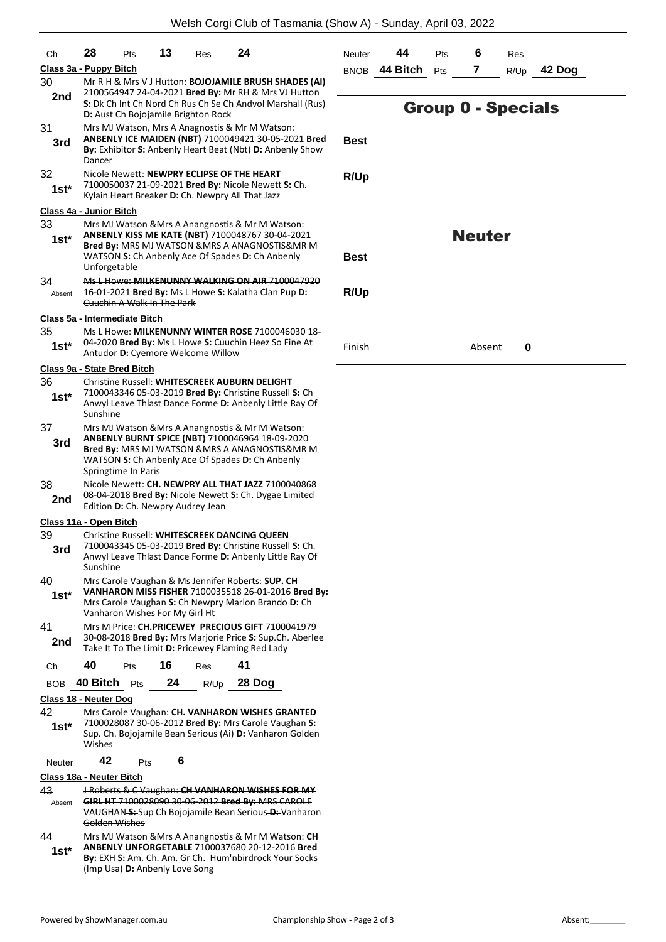| Сh            | 13<br>24<br>28<br>Pts<br>Res                                                                                                                 | Neutei |
|---------------|----------------------------------------------------------------------------------------------------------------------------------------------|--------|
|               | Class 3a - Puppy Bitch                                                                                                                       | BNOB   |
| 30            | Mr R H & Mrs V J Hutton: BOJOJAMILE BRUSH SHADES (AI)<br>2100564947 24-04-2021 Bred By: Mr RH & Mrs VJ Hutton                                |        |
| 2nd           | S: Dk Ch Int Ch Nord Ch Rus Ch Se Ch Andvol Marshall (Rus)                                                                                   |        |
| 31            | D: Aust Ch Bojojamile Brighton Rock<br>Mrs MJ Watson, Mrs A Anagnostis & Mr M Watson:                                                        |        |
| 3rd           | ANBENLY ICE MAIDEN (NBT) 7100049421 30-05-2021 Bred                                                                                          | Best   |
|               | By: Exhibitor S: Anbenly Heart Beat (Nbt) D: Anbenly Show<br>Dancer                                                                          |        |
| 32            | Nicole Newett: NEWPRY ECLIPSE OF THE HEART                                                                                                   | R/Up   |
| $1st^*$       | 7100050037 21-09-2021 Bred By: Nicole Newett S: Ch.                                                                                          |        |
|               | Kylain Heart Breaker D: Ch. Newpry All That Jazz                                                                                             |        |
| 33            | Class 4a - Junior Bitch<br>Mrs MJ Watson & Mrs A Anangnostis & Mr M Watson:                                                                  |        |
| $1st*$        | ANBENLY KISS ME KATE (NBT) 7100048767 30-04-2021                                                                                             |        |
|               | Bred By: MRS MJ WATSON & MRS A ANAGNOSTIS& MR M                                                                                              |        |
|               | WATSON S: Ch Anbenly Ace Of Spades D: Ch Anbenly<br>Unforgetable                                                                             | Best   |
| 34            | Ms L Howe: MILKENUNNY WALKING ON AIR 7100047920                                                                                              |        |
| Absent        | 16 01 2021 Bred By: Ms L Howe S: Kalatha Clan Pup-D:<br>Cuuchin A Walk In The Park                                                           | R/Up   |
|               |                                                                                                                                              |        |
| 35            | Class 5a - Intermediate Bitch<br>Ms L Howe: MILKENUNNY WINTER ROSE 7100046030 18-                                                            |        |
| $1st^*$       | 04-2020 Bred By: Ms L Howe S: Cuuchin Heez So Fine At                                                                                        | Finish |
|               | Antudor D: Cyemore Welcome Willow                                                                                                            |        |
| 36            | Class 9a - State Bred Bitch<br>Christine Russell: WHITESCREEK AUBURN DELIGHT                                                                 |        |
| $1st^*$       | 7100043346 05-03-2019 Bred By: Christine Russell S: Ch                                                                                       |        |
|               | Anwyl Leave Thlast Dance Forme D: Anbenly Little Ray Of<br>Sunshine                                                                          |        |
| 37            | Mrs MJ Watson & Mrs A Anangnostis & Mr M Watson:<br>ANBENLY BURNT SPICE (NBT) 7100046964 18-09-2020                                          |        |
| 3rd           | Bred By: MRS MJ WATSON & MRS A ANAGNOSTIS& MR M                                                                                              |        |
|               | WATSON S: Ch Anbenly Ace Of Spades D: Ch Anbenly<br>Springtime In Paris                                                                      |        |
| 38            | Nicole Newett: CH. NEWPRY ALL THAT JAZZ 7100040868                                                                                           |        |
| 2nd           | 08-04-2018 Bred By: Nicole Newett S: Ch. Dygae Limited<br>Edition D: Ch. Newpry Audrey Jean                                                  |        |
|               | Class 11a - Open Bitch                                                                                                                       |        |
| 39            | Christine Russell: WHITESCREEK DANCING QUEEN<br>7100043345 05-03-2019 Bred By: Christine Russell S: Ch.                                      |        |
| 3rd           | Anwyl Leave Thlast Dance Forme D: Anbenly Little Ray Of<br>Sunshine                                                                          |        |
| 40            | Mrs Carole Vaughan & Ms Jennifer Roberts: SUP. CH                                                                                            |        |
| $1st^*$       | VANHARON MISS FISHER 7100035518 26-01-2016 Bred By:<br>Mrs Carole Vaughan S: Ch Newpry Marlon Brando D: Ch<br>Vanharon Wishes For My Girl Ht |        |
| 41            | Mrs M Price: CH.PRICEWEY PRECIOUS GIFT 7100041979                                                                                            |        |
| 2nd           | 30-08-2018 Bred By: Mrs Marjorie Price S: Sup.Ch. Aberlee<br>Take It To The Limit D: Pricewey Flaming Red Lady                               |        |
| Ch            | 40<br>16<br>41<br>Pts<br>Res                                                                                                                 |        |
| BOB           | 28 Dog<br>40 Bitch<br>24<br>R/Up<br>Pts                                                                                                      |        |
|               | Class 18 - Neuter Dog                                                                                                                        |        |
| 42            | Mrs Carole Vaughan: CH. VANHARON WISHES GRANTED                                                                                              |        |
| 1st*          | 7100028087 30-06-2012 Bred By: Mrs Carole Vaughan S:<br>Sup. Ch. Bojojamile Bean Serious (Ai) D: Vanharon Golden<br>Wishes                   |        |
| Neuter        | 42<br>6<br>Pts                                                                                                                               |        |
|               | Class 18a - Neuter Bitch                                                                                                                     |        |
| 43<br>Absent  | <b>J Roberts &amp; C Vaughan: CH VANHARON WISHES FOR MY</b><br>GIRL HT 7100028090 30-06-2012 Bred By: MRS CAROLE                             |        |
|               | VAUGHAN S: Sup Ch Bojojamile Bean Serious D: Vanharon                                                                                        |        |
|               | Golden Wishes                                                                                                                                |        |
| 44<br>$1st^*$ | Mrs MJ Watson & Mrs A Anangnostis & Mr M Watson: CH<br>ANBENLY UNFORGETABLE 7100037680 20-12-2016 Bred                                       |        |
|               | By: EXH S: Am. Ch. Am. Gr Ch. Hum'nbirdrock Your Socks                                                                                       |        |

| Neuter | 44                | <b>Pts</b> | 6 | Res |               |
|--------|-------------------|------------|---|-----|---------------|
|        | BNOB 44 Bitch Pts |            |   |     | $R/Up$ 42 Dog |
|        |                   |            |   |     |               |

## Group 0 - Specials

| Best |  |
|------|--|
|      |  |

**R/Up**

## Neuter

**R/Up**

Finish Absent **0**

(Imp Usa) **D:** Anbenly Love Song